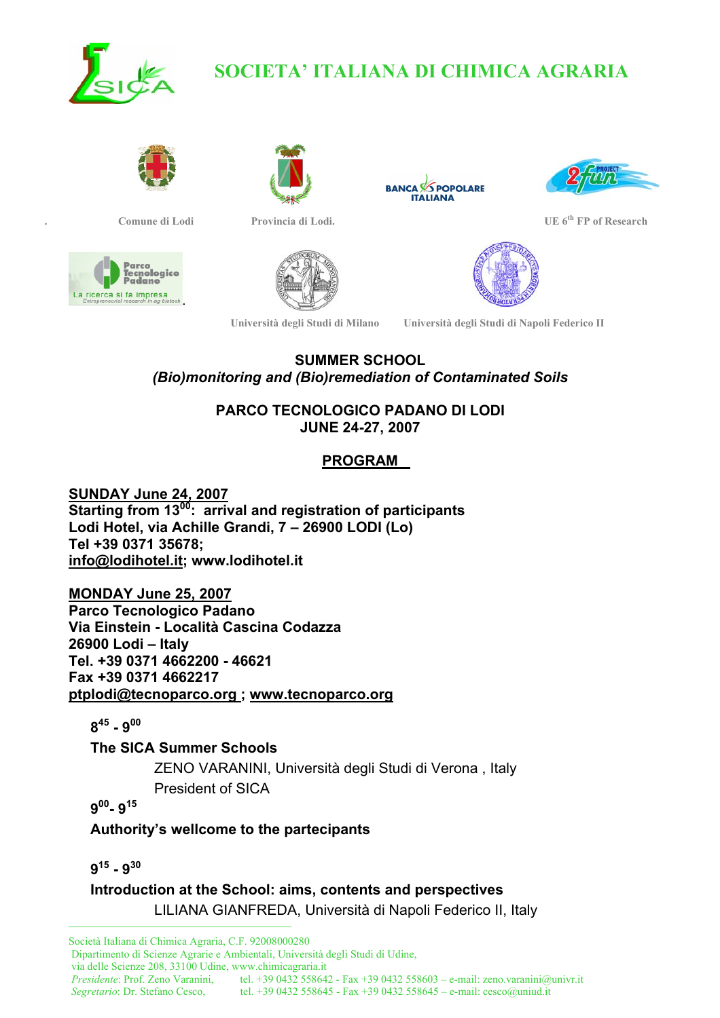

# **SOCIETA' ITALIANA DI CHIMICA AGRARIA**











**. Comune di Lodi Provincia di Lodi. UE 6th FP of Research** 



**SUMMER SCHOOL** 

*(Bio)monitoring and (Bio)remediation of Contaminated Soils*

**PARCO TECNOLOGICO PADANO DI LODI JUNE 24-27, 2007** 

# **PROGRAM**

**SUNDAY June 24, 2007 Starting from 1300: arrival and registration of participants Lodi Hotel, via Achille Grandi, 7 – 26900 LODI (Lo) Tel +39 0371 35678; info@lodihotel.it; www.lodihotel.it** 

**MONDAY June 25, 2007 Parco Tecnologico Padano Via Einstein - Località Cascina Codazza 26900 Lodi – Italy Tel. +39 0371 4662200 - 46621 Fax +39 0371 4662217 ptplodi@tecnoparco.org ; www.tecnoparco.org**

**845 - 900**

**The SICA Summer Schools** 

ZENO VARANINI, Università degli Studi di Verona , Italy President of SICA

**900- 915**

**Authority's wellcome to the partecipants** 

**915 - 930** 

\_\_\_\_\_\_\_\_\_\_\_\_\_\_\_\_\_\_\_\_\_\_\_\_\_\_\_\_\_\_\_\_\_\_\_\_\_\_\_\_\_\_\_\_\_\_1 **Introduction at the School: aims, contents and perspectives**  LILIANA GIANFREDA, Università di Napoli Federico II, Italy

Società Italiana di Chimica Agraria, C.F. 92008000280 Dipartimento di Scienze Agrarie e Ambientali, Università degli Studi di Udine, via delle Scienze 208, 33100 Udine, www.chimicagraria.it  *Presidente*: Prof. Zeno Varanini, tel. +39 0432 558642 - Fax +39 0432 558603 – e-mail: zeno.varanini@univr.it  *Segretario*: Dr. Stefano Cesco, tel. +39 0432 558645 - Fax +39 0432 558645 – e-mail: cesco@uniud.it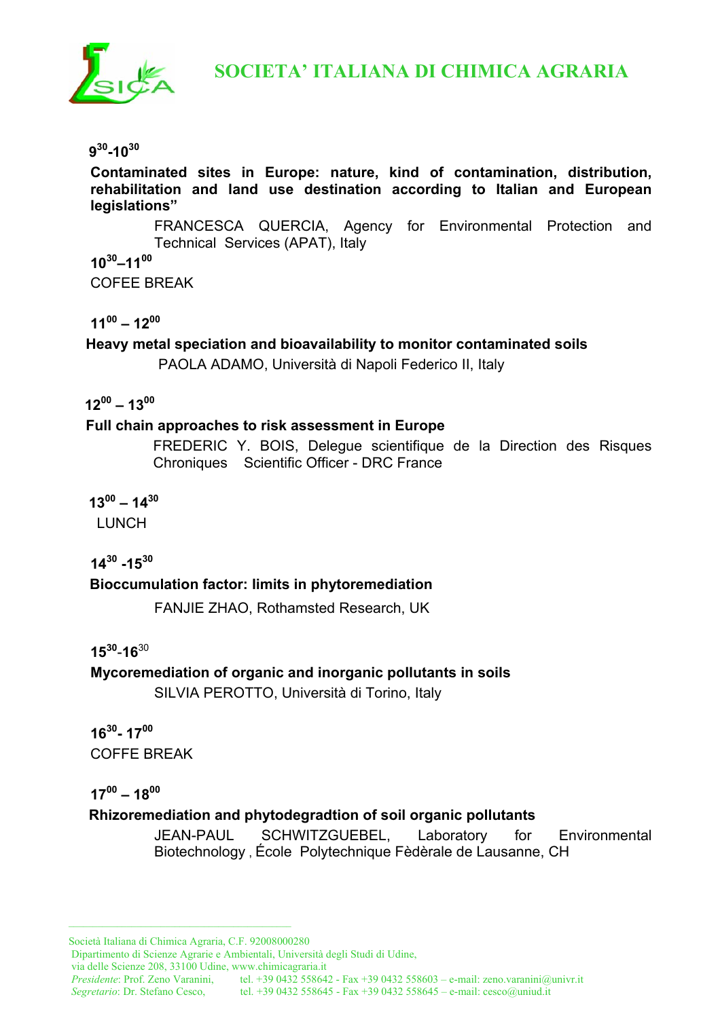

 **SOCIETA' ITALIANA DI CHIMICA AGRARIA**

#### **930-1030**

**Contaminated sites in Europe: nature, kind of contamination, distribution, rehabilitation and land use destination according to Italian and European legislations"** 

FRANCESCA QUERCIA, Agency for Environmental Protection and Technical Services (APAT), Italy **1030–1100** 

COFEE BREAK

**1100 – 1200**

**Heavy metal speciation and bioavailability to monitor contaminated soils** 

PAOLA ADAMO, Università di Napoli Federico II, Italy

## **1200 – 1300**

#### **Full chain approaches to risk assessment in Europe**

FREDERIC Y. BOIS, Delegue scientifique de la Direction des Risques Chroniques Scientific Officer - DRC France

 $13^{00} - 14^{30}$ 

LUNCH

**1430 -1530** 

#### **Bioccumulation factor: limits in phytoremediation**

FANJIE ZHAO, Rothamsted Research, UK

**1530**-**16**<sup>30</sup>

**Mycoremediation of organic and inorganic pollutants in soils**  SILVIA PEROTTO, Università di Torino, Italy

**1630- 1700**  COFFE BREAK

#### **1700 – 1800**

## **Rhizoremediation and phytodegradtion of soil organic pollutants**

JEAN-PAUL SCHWITZGUEBEL, Laboratory for Environmental Biotechnology , École Polytechnique Fèdèrale de Lausanne, CH

\_\_\_\_\_\_\_\_\_\_\_\_\_\_\_\_\_\_\_\_\_\_\_\_\_\_\_\_\_\_\_\_\_\_\_\_\_\_\_\_\_\_\_\_\_\_1

Dipartimento di Scienze Agrarie e Ambientali, Università degli Studi di Udine,

via delle Scienze 208, 33100 Udine, www.chimicagraria.it

 *Segretario*: Dr. Stefano Cesco, tel. +39 0432 558645 - Fax +39 0432 558645 – e-mail: cesco@uniud.it

Società Italiana di Chimica Agraria, C.F. 92008000280

*Presidente:* Prof. Zeno Varanini, tel. +39 0432 558642 - Fax +39 0432 558603 – e-mail: zeno.varanini@univr.it *Segretario*: Dr. Stefano Cesco, tel. +39 0432 558645 - Fax +39 0432 558645 – e-mail: cesco@uniud.it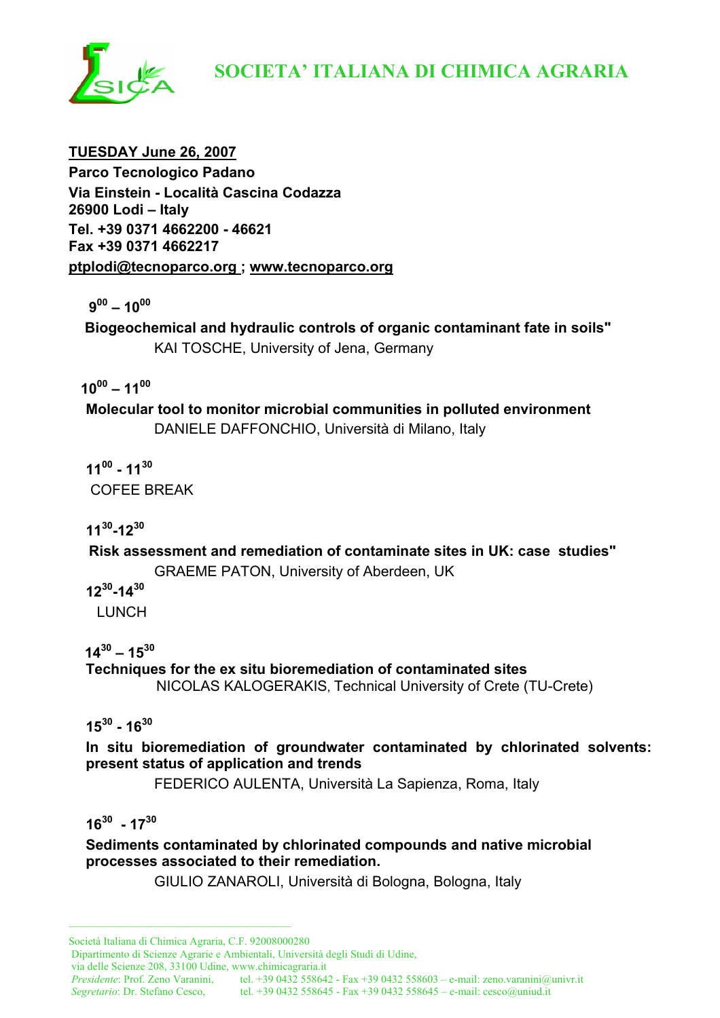

# **SOCIETA' ITALIANA DI CHIMICA AGRARIA**

**TUESDAY June 26, 2007 Parco Tecnologico Padano Via Einstein - Località Cascina Codazza 26900 Lodi – Italy Tel. +39 0371 4662200 - 46621 Fax +39 0371 4662217 ptplodi@tecnoparco.org ; www.tecnoparco.org**

 **900 – 1000**

 **Biogeochemical and hydraulic controls of organic contaminant fate in soils"**  KAI TOSCHE, University of Jena, Germany

 **1000 – 1100**

**Molecular tool to monitor microbial communities in polluted environment**  DANIELE DAFFONCHIO, Università di Milano, Italy

**1100 - 1130** COFEE BREAK

**1130-1230**

 **Risk assessment and remediation of contaminate sites in UK: case studies"** 

GRAEME PATON, University of Aberdeen, UK

**1230-1430** 

LUNCH

 $14^{30} - 15^{30}$ 

**Techniques for the ex situ bioremediation of contaminated sites**  NICOLAS KALOGERAKIS, Technical University of Crete (TU-Crete)

**1530 - 1630**

**In situ bioremediation of groundwater contaminated by chlorinated solvents: present status of application and trends** 

FEDERICO AULENTA, Università La Sapienza, Roma, Italy

**1630 - 1730** 

**Sediments contaminated by chlorinated compounds and native microbial processes associated to their remediation.** 

GIULIO ZANAROLI, Università di Bologna, Bologna, Italy

\_\_\_\_\_\_\_\_\_\_\_\_\_\_\_\_\_\_\_\_\_\_\_\_\_\_\_\_\_\_\_\_\_\_\_\_\_\_\_\_\_\_\_\_\_\_1

Dipartimento di Scienze Agrarie e Ambientali, Università degli Studi di Udine,

via delle Scienze 208, 33100 Udine, www.chimicagraria.it

 *Presidente*: Prof. Zeno Varanini, tel. +39 0432 558642 - Fax +39 0432 558603 – e-mail: zeno.varanini@univr.it  *Segretario*: Dr. Stefano Cesco, tel. +39 0432 558645 - Fax +39 0432 558645 – e-mail: cesco@uniud.it

Società Italiana di Chimica Agraria, C.F. 92008000280